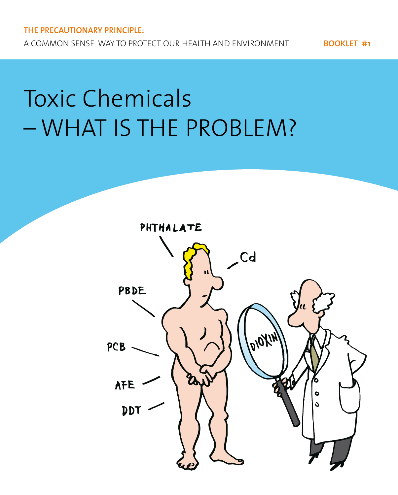# Toxic Chemicals – WHAT IS THE PROBLEM?

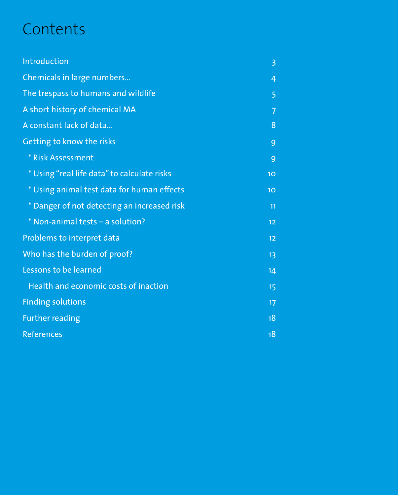# **Contents**

| Introduction                                | $\overline{3}$ |
|---------------------------------------------|----------------|
| Chemicals in large numbers                  | 4              |
| The trespass to humans and wildlife         | 5              |
| A short history of chemical MA              | 7              |
| A constant lack of data                     | 8              |
| Getting to know the risks                   | 9              |
| <b>* Risk Assessment</b>                    | 9              |
| * Using "real life data" to calculate risks | 10             |
| * Using animal test data for human effects  | 10             |
| * Danger of not detecting an increased risk | 11             |
| * Non-animal tests - a solution?            | 12             |
| Problems to interpret data                  | 12             |
| Who has the burden of proof?                | 13             |
| Lessons to be learned                       | 14             |
| Health and economic costs of inaction       | 15             |
| <b>Finding solutions</b>                    | 17             |
| <b>Further reading</b>                      | 18             |
| <b>References</b>                           | 18             |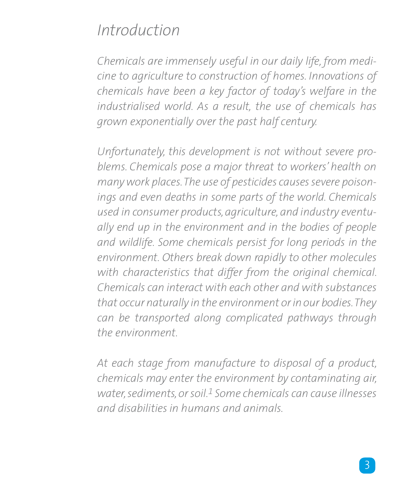### *Introduction*

*Chemicals are immensely useful in our daily life, from medicine to agriculture to construction of homes. Innovations of chemicals have been a key factor of today's welfare in the industrialised world. As a result, the use of chemicals has grown exponentially over the past half century.*

*Unfortunately, this development is not without severe problems. Chemicals pose a major threat to workers' health on many work places. The use of pesticides causes severe poisonings and even deaths in some parts of the world. Chemicals used in consumer products, agriculture, and industry eventually end up in the environment and in the bodies of people and wildlife. Some chemicals persist for long periods in the environment. Others break down rapidly to other molecules with characteristics that differ from the original chemical. Chemicals can interact with each other and with substances that occur naturally in the environment or in our bodies. They can be transported along complicated pathways through the environment.* 

*At each stage from manufacture to disposal of a product, chemicals may enter the environment by contaminating air, water, sediments, or soil.1 Some chemicals can cause illnesses and disabilities in humans and animals.*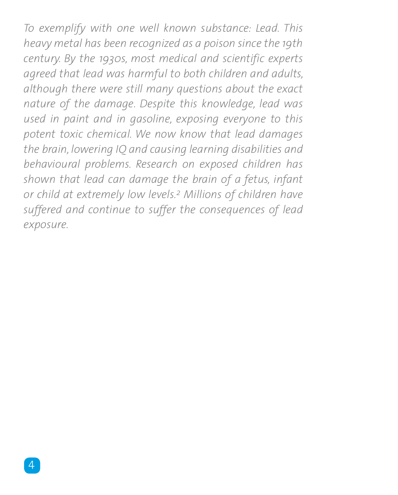*To exemplify with one well known substance: Lead. This heavy metal has been recognized as a poison since the 19th century. By the 1930s, most medical and scientific experts agreed that lead was harmful to both children and adults, although there were still many questions about the exact nature of the damage. Despite this knowledge, lead was used in paint and in gasoline, exposing everyone to this potent toxic chemical. We now know that lead damages the brain, lowering IQ and causing learning disabilities and behavioural problems. Research on exposed children has shown that lead can damage the brain of a fetus, infant or child at extremely low levels.2 Millions of children have suffered and continue to suffer the consequences of lead exposure.*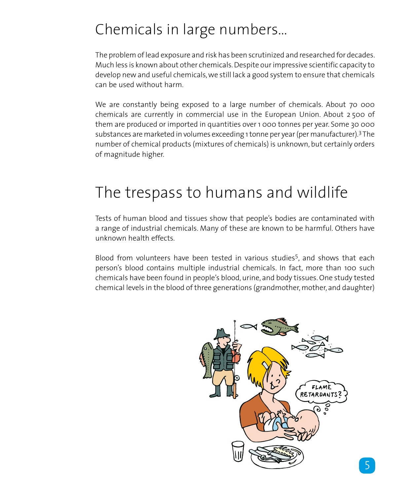### Chemicals in large numbers…

The problem of lead exposure and risk has been scrutinized and researched for decades. Much less is known about other chemicals. Despite our impressive scientific capacity to develop new and useful chemicals, we still lack a good system to ensure that chemicals can be used without harm.

We are constantly being exposed to a large number of chemicals. About 70 000 chemicals are currently in commercial use in the European Union. About 2 500 of them are produced or imported in quantities over 1 000 tonnes per year. Some 30 000 substances are marketed in volumes exceeding 1 tonne per year (per manufacturer).3 The number of chemical products (mixtures of chemicals) is unknown, but certainly orders of magnitude higher.

### The trespass to humans and wildlife

Tests of human blood and tissues show that people's bodies are contaminated with a range of industrial chemicals. Many of these are known to be harmful. Others have unknown health effects.

Blood from volunteers have been tested in various studies<sup>5</sup>, and shows that each person's blood contains multiple industrial chemicals. In fact, more than 100 such chemicals have been found in people's blood, urine, and body tissues. One study tested chemical levels in the blood of three generations (grandmother, mother, and daughter)

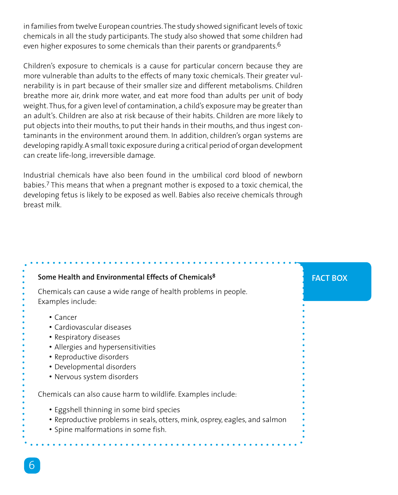in families from twelve European countries. The study showed significant levels of toxic chemicals in all the study participants. The study also showed that some children had even higher exposures to some chemicals than their parents or grandparents.<sup>6</sup>

Children's exposure to chemicals is a cause for particular concern because they are more vulnerable than adults to the effects of many toxic chemicals. Their greater vulnerability is in part because of their smaller size and different metabolisms. Children breathe more air, drink more water, and eat more food than adults per unit of body weight. Thus, for a given level of contamination, a child's exposure may be greater than an adult's. Children are also at risk because of their habits. Children are more likely to put objects into their mouths, to put their hands in their mouths, and thus ingest contaminants in the environment around them. In addition, children's organ systems are developing rapidly. A small toxic exposure during a critical period of organ development can create life-long, irreversible damage.

Industrial chemicals have also been found in the umbilical cord blood of newborn babies.7 This means that when a pregnant mother is exposed to a toxic chemical, the developing fetus is likely to be exposed as well. Babies also receive chemicals through breast milk.

| Some Health and Environmental Effects of Chemicals <sup>8</sup>                     | <b>FACT BOX</b> |
|-------------------------------------------------------------------------------------|-----------------|
| Chemicals can cause a wide range of health problems in people.<br>Examples include: |                 |
| $\cdot$ Cancer                                                                      |                 |
| • Cardiovascular diseases                                                           |                 |
| • Respiratory diseases                                                              |                 |
| • Allergies and hypersensitivities                                                  |                 |
| • Reproductive disorders                                                            |                 |
| • Developmental disorders                                                           |                 |
| • Nervous system disorders                                                          |                 |
| Chemicals can also cause harm to wildlife. Examples include:                        |                 |
| • Eggshell thinning in some bird species                                            |                 |
| • Reproductive problems in seals, otters, mink, osprey, eagles, and salmon          |                 |
| • Spine malformations in some fish.                                                 |                 |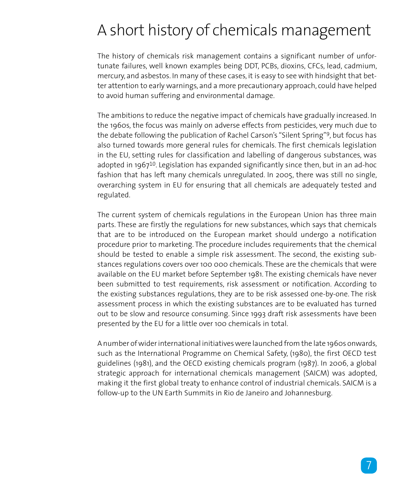### A short history of chemicals management

The history of chemicals risk management contains a significant number of unfortunate failures, well known examples being DDT, PCBs, dioxins, CFCs, lead, cadmium, mercury, and asbestos. In many of these cases, it is easy to see with hindsight that better attention to early warnings, and a more precautionary approach, could have helped to avoid human suffering and environmental damage.

The ambitions to reduce the negative impact of chemicals have gradually increased. In the 1960s, the focus was mainly on adverse effects from pesticides, very much due to the debate following the publication of Rachel Carson's "Silent Spring"9, but focus has also turned towards more general rules for chemicals. The first chemicals legislation in the EU, setting rules for classification and labelling of dangerous substances, was adopted in 1967<sup>10</sup>. Legislation has expanded significantly since then, but in an ad-hoc fashion that has left many chemicals unregulated. In 2005, there was still no single, overarching system in EU for ensuring that all chemicals are adequately tested and regulated.

The current system of chemicals regulations in the European Union has three main parts. These are firstly the regulations for new substances, which says that chemicals that are to be introduced on the European market should undergo a notification procedure prior to marketing. The procedure includes requirements that the chemical should be tested to enable a simple risk assessment. The second, the existing substances regulations covers over 100 000 chemicals. These are the chemicals that were available on the EU market before September 1981. The existing chemicals have never been submitted to test requirements, risk assessment or notification. According to the existing substances regulations, they are to be risk assessed one-by-one. The risk assessment process in which the existing substances are to be evaluated has turned out to be slow and resource consuming. Since 1993 draft risk assessments have been presented by the EU for a little over 100 chemicals in total.

A number of wider international initiatives were launched from the late 1960s onwards, such as the International Programme on Chemical Safety, (1980), the first OECD test guidelines (1981), and the OECD existing chemicals program (1987). In 2006, a global strategic approach for international chemicals management (SAICM) was adopted, making it the first global treaty to enhance control of industrial chemicals. SAICM is a follow-up to the UN Earth Summits in Rio de Janeiro and Johannesburg.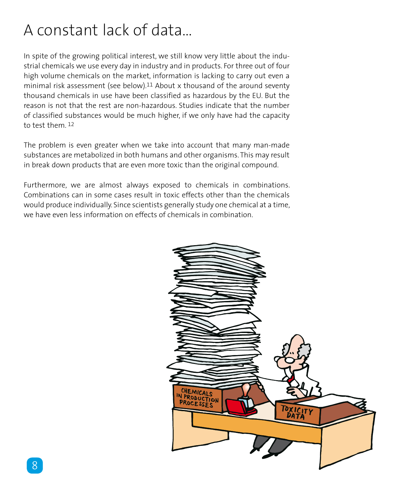# A constant lack of data…

In spite of the growing political interest, we still know very little about the industrial chemicals we use every day in industry and in products. For three out of four high volume chemicals on the market, information is lacking to carry out even a minimal risk assessment (see below).<sup>11</sup> About x thousand of the around seventy thousand chemicals in use have been classified as hazardous by the EU. But the reason is not that the rest are non-hazardous. Studies indicate that the number of classified substances would be much higher, if we only have had the capacity to test them 12

The problem is even greater when we take into account that many man-made substances are metabolized in both humans and other organisms. This may result in break down products that are even more toxic than the original compound.

Furthermore, we are almost always exposed to chemicals in combinations. Combinations can in some cases result in toxic effects other than the chemicals would produce individually. Since scientists generally study one chemical at a time, we have even less information on effects of chemicals in combination.

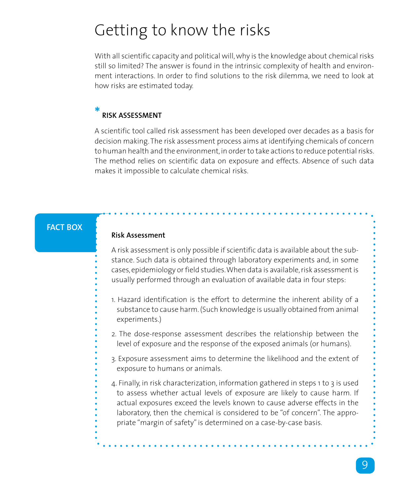### Getting to know the risks

With all scientific capacity and political will, why is the knowledge about chemical risks still so limited? The answer is found in the intrinsic complexity of health and environment interactions. In order to find solutions to the risk dilemma, we need to look at how risks are estimated today.

#### **\* Risk Assessment**

A scientific tool called risk assessment has been developed over decades as a basis for decision making. The risk assessment process aims at identifying chemicals of concern to human health and the environment, in order to take actions to reduce potential risks. The method relies on scientific data on exposure and effects. Absence of such data makes it impossible to calculate chemical risks.

### **FACT BOX**

### **Risk Assessment**

A risk assessment is only possible if scientific data is available about the substance. Such data is obtained through laboratory experiments and, in some cases, epidemiology or field studies. When data is available, risk assessment is usually performed through an evaluation of available data in four steps:

- 1. Hazard identification is the effort to determine the inherent ability of a substance to cause harm. (Such knowledge is usually obtained from animal experiments.)
- 2. The dose-response assessment describes the relationship between the level of exposure and the response of the exposed animals (or humans).
- 3. Exposure assessment aims to determine the likelihood and the extent of exposure to humans or animals.
- 4. Finally, in risk characterization, information gathered in steps 1 to 3 is used to assess whether actual levels of exposure are likely to cause harm. If actual exposures exceed the levels known to cause adverse effects in the laboratory, then the chemical is considered to be "of concern". The appropriate "margin of safety" is determined on a case-by-case basis.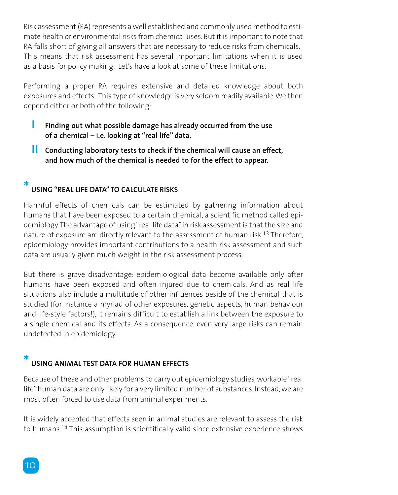Risk assessment (RA) represents a well established and commonly used method to estimate health or environmental risks from chemical uses. But it is important to note that RA falls short of giving all answers that are necessary to reduce risks from chemicals. This means that risk assessment has several important limitations when it is used as a basis for policy making. Let's have a look at some of these limitations:

Performing a proper RA requires extensive and detailed knowledge about both exposures and effects. This type of knowledge is very seldom readily available. We then depend either or both of the following:

- **I** Finding out what possible damage has already occurred from the use **of a chemical – i.e. looking at "real life" data.**
- *II* **Conducting laboratory tests to check if the chemical will cause an effect, and how much of the chemical is needed to for the effect to appear.**

#### **\* Using "real life data" to calculate risks**

Harmful effects of chemicals can be estimated by gathering information about humans that have been exposed to a certain chemical, a scientific method called epidemiology. The advantage of using "real life data" in risk assessment is that the size and nature of exposure are directly relevant to the assessment of human risk.13 Therefore, epidemiology provides important contributions to a health risk assessment and such data are usually given much weight in the risk assessment process.

But there is grave disadvantage: epidemiological data become available only after humans have been exposed and often injured due to chemicals. And as real life situations also include a multitude of other influences beside of the chemical that is studied (for instance a myriad of other exposures, genetic aspects, human behaviour and life-style factors!), it remains difficult to establish a link between the exposure to a single chemical and its effects. As a consequence, even very large risks can remain undetected in epidemiology.

#### **\* Using animal test data for human effects**

Because of these and other problems to carry out epidemiology studies, workable "real life" human data are only likely for a very limited number of substances. Instead, we are most often forced to use data from animal experiments.

It is widely accepted that effects seen in animal studies are relevant to assess the risk to humans.14 This assumption is scientifically valid since extensive experience shows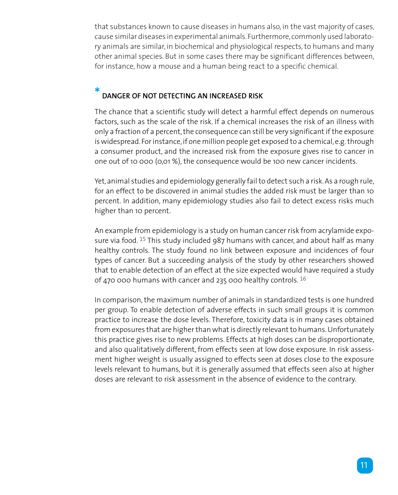that substances known to cause diseases in humans also, in the vast majority of cases, cause similar diseases in experimental animals. Furthermore, commonly used laboratory animals are similar, in biochemical and physiological respects, to humans and many other animal species. But in some cases there may be significant differences between, for instance, how a mouse and a human being react to a specific chemical.

#### **\* Danger of not detecting an increased risk**

The chance that a scientific study will detect a harmful effect depends on numerous factors, such as the scale of the risk. If a chemical increases the risk of an illness with only a fraction of a percent, the consequence can still be very significant if the exposure is widespread. For instance, if one million people get exposed to a chemical, e.g. through a consumer product, and the increased risk from the exposure gives rise to cancer in one out of 10 000 (0,01 %), the consequence would be 100 new cancer incidents.

Yet, animal studies and epidemiology generally fail to detect such a risk. As a rough rule, for an effect to be discovered in animal studies the added risk must be larger than 10 percent. In addition, many epidemiology studies also fail to detect excess risks much higher than 10 percent.

An example from epidemiology is a study on human cancer risk from acrylamide exposure via food. 15 This study included 987 humans with cancer, and about half as many healthy controls. The study found no link between exposure and incidences of four types of cancer. But a succeeding analysis of the study by other researchers showed that to enable detection of an effect at the size expected would have required a study of 470 000 humans with cancer and 235 000 healthy controls. 16

In comparison, the maximum number of animals in standardized tests is one hundred per group. To enable detection of adverse effects in such small groups it is common practice to increase the dose levels. Therefore, toxicity data is in many cases obtained from exposures that are higher than what is directly relevant to humans. Unfortunately this practice gives rise to new problems. Effects at high doses can be disproportionate, and also qualitatively different, from effects seen at low dose exposure. In risk assessment higher weight is usually assigned to effects seen at doses close to the exposure levels relevant to humans, but it is generally assumed that effects seen also at higher doses are relevant to risk assessment in the absence of evidence to the contrary.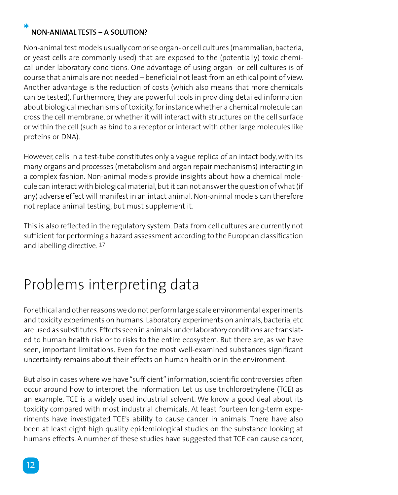### **Non-animal tests – a solution?**

**\***

Non-animal test models usually comprise organ- or cell cultures (mammalian, bacteria, or yeast cells are commonly used) that are exposed to the (potentially) toxic chemical under laboratory conditions. One advantage of using organ- or cell cultures is of course that animals are not needed – beneficial not least from an ethical point of view. Another advantage is the reduction of costs (which also means that more chemicals can be tested). Furthermore, they are powerful tools in providing detailed information about biological mechanisms of toxicity, for instance whether a chemical molecule can cross the cell membrane, or whether it will interact with structures on the cell surface or within the cell (such as bind to a receptor or interact with other large molecules like proteins or DNA).

However, cells in a test-tube constitutes only a vague replica of an intact body, with its many organs and processes (metabolism and organ repair mechanisms) interacting in a complex fashion. Non-animal models provide insights about how a chemical molecule can interact with biological material, but it can not answer the question of what (if any) adverse effect will manifest in an intact animal. Non-animal models can therefore not replace animal testing, but must supplement it.

This is also reflected in the regulatory system. Data from cell cultures are currently not sufficient for performing a hazard assessment according to the European classification and labelling directive. 17

### Problems interpreting data

For ethical and other reasons we do not perform large scale environmental experiments and toxicity experiments on humans. Laboratory experiments on animals, bacteria, etc are used as substitutes. Effects seen in animals under laboratory conditions are translated to human health risk or to risks to the entire ecosystem. But there are, as we have seen, important limitations. Even for the most well-examined substances significant uncertainty remains about their effects on human health or in the environment.

But also in cases where we have "sufficient" information, scientific controversies often occur around how to interpret the information. Let us use trichloroethylene (TCE) as an example. TCE is a widely used industrial solvent. We know a good deal about its toxicity compared with most industrial chemicals. At least fourteen long-term experiments have investigated TCE's ability to cause cancer in animals. There have also been at least eight high quality epidemiological studies on the substance looking at humans effects. A number of these studies have suggested that TCE can cause cancer,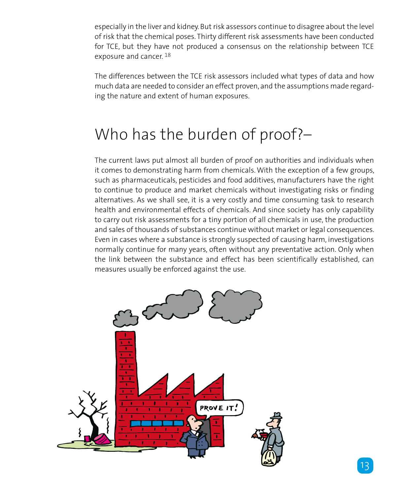especially in the liver and kidney. But risk assessors continue to disagree about the level of risk that the chemical poses. Thirty different risk assessments have been conducted for TCE, but they have not produced a consensus on the relationship between TCE exposure and cancer. 18

The differences between the TCE risk assessors included what types of data and how much data are needed to consider an effect proven, and the assumptions made regarding the nature and extent of human exposures.

## Who has the burden of proof?–

The current laws put almost all burden of proof on authorities and individuals when it comes to demonstrating harm from chemicals. With the exception of a few groups, such as pharmaceuticals, pesticides and food additives, manufacturers have the right to continue to produce and market chemicals without investigating risks or finding alternatives. As we shall see, it is a very costly and time consuming task to research health and environmental effects of chemicals. And since society has only capability to carry out risk assessments for a tiny portion of all chemicals in use, the production and sales of thousands of substances continue without market or legal consequences. Even in cases where a substance is strongly suspected of causing harm, investigations normally continue for many years, often without any preventative action. Only when the link between the substance and effect has been scientifically established, can measures usually be enforced against the use.

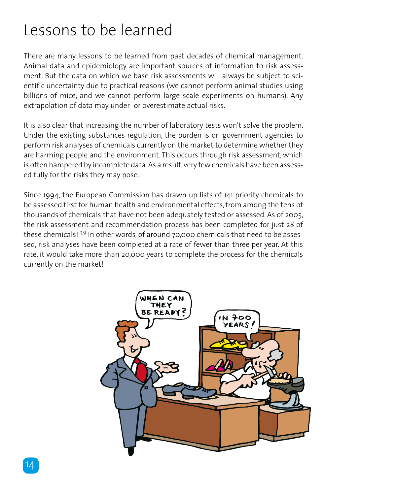### Lessons to be learned

There are many lessons to be learned from past decades of chemical management. Animal data and epidemiology are important sources of information to risk assessment. But the data on which we base risk assessments will always be subject to scientific uncertainty due to practical reasons (we cannot perform animal studies using billions of mice, and we cannot perform large scale experiments on humans). Any extrapolation of data may under- or overestimate actual risks.

It is also clear that increasing the number of laboratory tests won't solve the problem. Under the existing substances regulation, the burden is on government agencies to perform risk analyses of chemicals currently on the market to determine whether they are harming people and the environment. This occurs through risk assessment, which is often hampered by incomplete data. As a result, very few chemicals have been assessed fully for the risks they may pose.

Since 1994, the European Commission has drawn up lists of 141 priority chemicals to be assessed first for human health and environmental effects, from among the tens of thousands of chemicals that have not been adequately tested or assessed. As of 2005, the risk assessment and recommendation process has been completed for just 28 of these chemicals! 19 In other words, of around 70,000 chemicals that need to be assessed, risk analyses have been completed at a rate of fewer than three per year. At this rate, it would take more than 20,000 years to complete the process for the chemicals currently on the market!

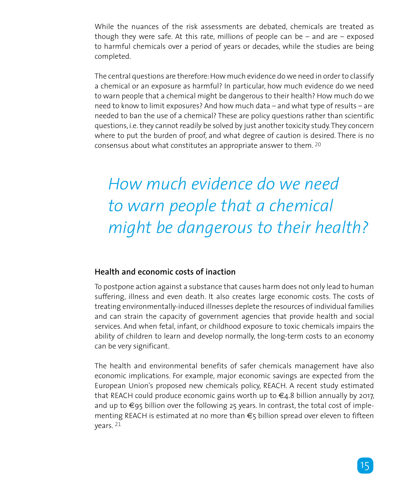While the nuances of the risk assessments are debated, chemicals are treated as though they were safe. At this rate, millions of people can be  $-$  and are  $-$  exposed to harmful chemicals over a period of years or decades, while the studies are being completed.

The central questions are therefore: How much evidence do we need in order to classify a chemical or an exposure as harmful? In particular, how much evidence do we need to warn people that a chemical might be dangerous to their health? How much do we need to know to limit exposures? And how much data – and what type of results – are needed to ban the use of a chemical? These are policy questions rather than scientific questions, i.e. they cannot readily be solved by just another toxicity study. They concern where to put the burden of proof, and what degree of caution is desired. There is no consensus about what constitutes an appropriate answer to them. 20

# *How much evidence do we need to warn people that a chemical might be dangerous to their health?*

### **Health and economic costs of inaction**

To postpone action against a substance that causes harm does not only lead to human suffering, illness and even death. It also creates large economic costs. The costs of treating environmentally-induced illnesses deplete the resources of individual families and can strain the capacity of government agencies that provide health and social services. And when fetal, infant, or childhood exposure to toxic chemicals impairs the ability of children to learn and develop normally, the long-term costs to an economy can be very significant.

The health and environmental benefits of safer chemicals management have also economic implications. For example, major economic savings are expected from the European Union's proposed new chemicals policy, REACH. A recent study estimated that REACH could produce economic gains worth up to  $\epsilon_4$ .8 billion annually by 2017, and up to  $\epsilon$ 95 billion over the following 25 years. In contrast, the total cost of implementing REACH is estimated at no more than  $\epsilon$ <sub>5</sub> billion spread over eleven to fifteen years. 21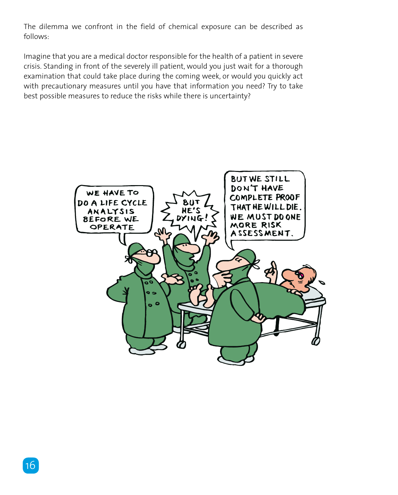The dilemma we confront in the field of chemical exposure can be described as follows:

Imagine that you are a medical doctor responsible for the health of a patient in severe crisis. Standing in front of the severely ill patient, would you just wait for a thorough examination that could take place during the coming week, or would you quickly act with precautionary measures until you have that information you need? Try to take best possible measures to reduce the risks while there is uncertainty?

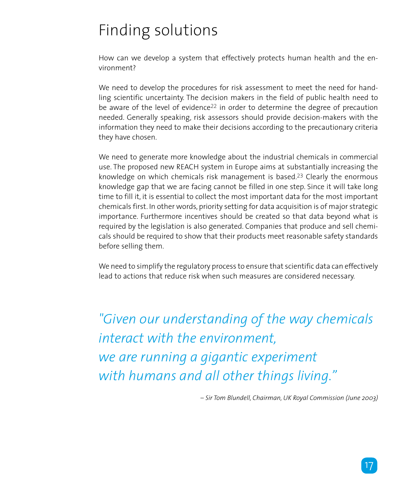## Finding solutions

How can we develop a system that effectively protects human health and the environment?

We need to develop the procedures for risk assessment to meet the need for handling scientific uncertainty. The decision makers in the field of public health need to be aware of the level of evidence<sup>22</sup> in order to determine the degree of precaution needed. Generally speaking, risk assessors should provide decision-makers with the information they need to make their decisions according to the precautionary criteria they have chosen.

We need to generate more knowledge about the industrial chemicals in commercial use. The proposed new REACH system in Europe aims at substantially increasing the knowledge on which chemicals risk management is based.23 Clearly the enormous knowledge gap that we are facing cannot be filled in one step. Since it will take long time to fill it, it is essential to collect the most important data for the most important chemicals first. In other words, priority setting for data acquisition is of major strategic importance. Furthermore incentives should be created so that data beyond what is required by the legislation is also generated. Companies that produce and sell chemicals should be required to show that their products meet reasonable safety standards before selling them.

We need to simplify the regulatory process to ensure that scientific data can effectively lead to actions that reduce risk when such measures are considered necessary.

*"Given our understanding of the way chemicals interact with the environment, we are running a gigantic experiment with humans and all other things living."* 

*– Sir Tom Blundell, Chairman, UK Royal Commission (June 2003)*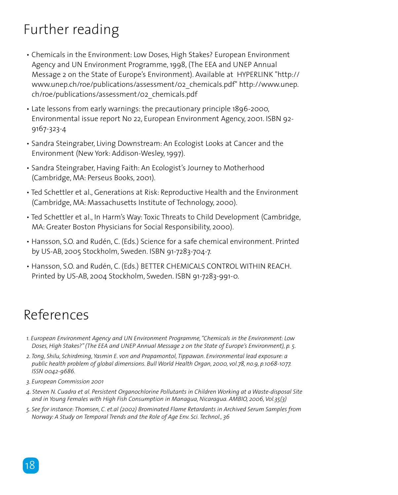### Further reading

- Chemicals in the Environment: Low Doses, High Stakes? European Environment Agency and UN Environment Programme, 1998, (The EEA and UNEP Annual Message 2 on the State of Europe's Environment). Available at HYPERLINK "http:// www.unep.ch/roe/publications/assessment/02\_chemicals.pdf" http://www.unep. ch/roe/publications/assessment/02\_chemicals.pdf
- Late lessons from early warnings: the precautionary principle 1896-2000, Environmental issue report No 22, European Environment Agency, 2001. ISBN 92- 9167-323-4
- Sandra Steingraber, Living Downstream: An Ecologist Looks at Cancer and the Environment (New York: Addison-Wesley, 1997).
- Sandra Steingraber, Having Faith: An Ecologist's Journey to Motherhood (Cambridge, MA: Perseus Books, 2001).
- Ted Schettler et al., Generations at Risk: Reproductive Health and the Environment (Cambridge, MA: Massachusetts Institute of Technology, 2000).
- Ted Schettler et al., In Harm's Way: Toxic Threats to Child Development (Cambridge, MA: Greater Boston Physicians for Social Responsibility, 2000).
- Hansson, S.O. and Rudén, C. (Eds.) Science for a safe chemical environment. Printed by US-AB, 2005 Stockholm, Sweden. ISBN 91-7283-704-7.
- Hansson, S.O. and Rudén, C. (Eds.) BETTER CHEMICALS CONTROL WITHIN REACH. Printed by US-AB, 2004 Stockholm, Sweden. ISBN 91-7283-991-0.

### References

- *1. European Environment Agency and UN Environment Programme, "Chemicals in the Environment: Low Doses, High Stakes?" (The EEA and UNEP Annual Message 2 on the State of Europe's Environment), p. 5.*
- *2. Tong, Shilu, Schirdming, Yasmin E. von and Prapamontol, Tippawan. Environmental lead exposure: a public health problem of global dimensions. Bull World Health Organ, 2000, vol.78, no.9, p.1068-1077. ISSN 0042-9686.*
- *3. European Commission 2001*
- *4. Steven N. Cuadra et al. Persistent Organochlorine Pollutants in Children Working at a Waste-disposal Site and in Young Females with High Fish Consumption in Managua, Nicaragua. AMBIO, 2006, Vol.35(3)*
- *5. See for instance: Thomsen, C. et.al (2002) Brominated Flame Retardants in Archived Serum Samples from Norway: A Study on Temporal Trends and the Role of Age Env. Sci. Technol., 36*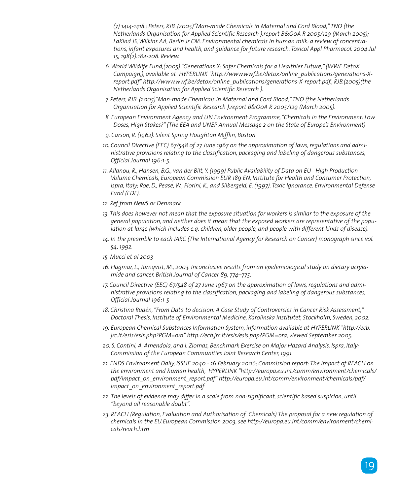*(7) 1414-1418.; Peters, RJB. (2005)"Man-made Chemicals in Maternal and Cord Blood," TNO (the Netherlands Organisation for Applied Scientific Research ).report B&O0A R 2005/129 (March 2005); LaKind JS, Wilkins AA, Berlin Jr CM. Environmental chemicals in human milk: a review of concentrations, infant exposures and health, and guidance for future research. Toxicol Appl Pharmacol. 2004 Jul 15; 198(2):184-208. Review.*

- *6. World Wildlife Fund,(2005) "Generations X: Safer Chemicals for a Healthier Future," (WWF DetoX Campaign,), available at HYPERLINK "http://www.wwf.be/detox/online\_publications/generations-Xreport.pdf" http://www.wwf.be/detox/online\_publications/generations-X-report.pdf., RJB.(2005)(the Netherlands Organisation for Applied Scientific Research ).*
- *7. Peters, RJB. (2005)"Man-made Chemicals in Maternal and Cord Blood," TNO (the Netherlands Organisation for Applied Scientific Research ).report B&O0A R 2005/129 (March 2005).*
- *8. European Environment Agency and UN Environment Programme, "Chemicals in the Environment: Low Doses, High Stakes?" (The EEA and UNEP Annual Message 2 on the State of Europe's Environment)*
- *9. Carson, R. (1962): Silent Spring Houghton Mifflin, Boston*
- *10. Council Directive (EEC) 67/548 of 27 June 1967 on the approximation of laws, regulations and administrative provisions relating to the classification, packaging and labeling of dangerous substances, Official Journal 196:1-5.*
- *11. Allanou, R., Hansen, B.G., van der Bilt, Y. (1999) Public Availability of Data on EU High Production Volume Chemicals, European Commission EUR 189 EN, Institute for Health and Consumer Protection, Ispra, Italy; Roe, D., Pease, W., Florini, K., and Silbergeld, E. (1997). Toxic Ignorance. Environmental Defense Fund (EDF).*
- *12. Ref from NewS or Denmark*
- *13. This does however not mean that the exposure situation for workers is similar to the exposure of the general population, and neither does it mean that the exposed workers are representative of the population at large (which includes e.g. children, older people, and people with different kinds of disease).*
- 14. In the preamble to each IARC (The International Agency for Research on Cancer) monograph since vol. *54, 1992.*
- *15. Mucci et al 2003*
- *16. Hagmar, L., Törnqvist, M., 2003. Inconclusive results from an epidemiological study on dietary acrylamide and cancer. British Journal of Cancer 89, 774–775.*
- *17. Council Directive (EEC) 67/548 of 27 June 1967 on the approximation of laws, regulations and administrative provisions relating to the classification, packaging and labeling of dangerous substances, Official Journal 196:1-5*
- *18. Christina Rudén, "From Data to decision: A Case Study of Controversies in Cancer Risk Assessment," Doctoral Thesis, Institute of Environmental Medicine, Karolinska Institutet, Stockholm, Sweden, 2002.*
- *19. European Chemical Substances Information System, information available at HYPERLINK "http://ecb. jrc.it/esis/esis.php?PGM=ora" http://ecb.jrc.it/esis/esis.php?PGM=ora, viewed September 2005.*
- *20. S. Contini, A. Amendola, and I. Ziomas, Benchmark Exercise on Major Hazard Analysis, Ispra, Italy: Commission of the European Communities Joint Research Center, 1991.*
- *21. ENDS Environment Daily, ISSUE 2040 16 February 2006; Commission report: The impact of REACH on the environment and human health, HYPERLINK "http://europa.eu.int/comm/environment/chemicals/ pdf/impact\_on\_environment\_report.pdf" http://europa.eu.int/comm/environment/chemicals/pdf/ impact\_on\_environment\_report.pdf*
- *22. The levels of evidence may differ in a scale from non-significant, scientific based suspicion, until "beyond all reasonable doubt".*
- *23. REACH (Regulation, Evaluation and Authorisation of Chemicals) The proposal for a new regulation of chemicals in the EU.European Commission 2003, see http://europa.eu.int/comm/environment/chemicals/reach.htm*